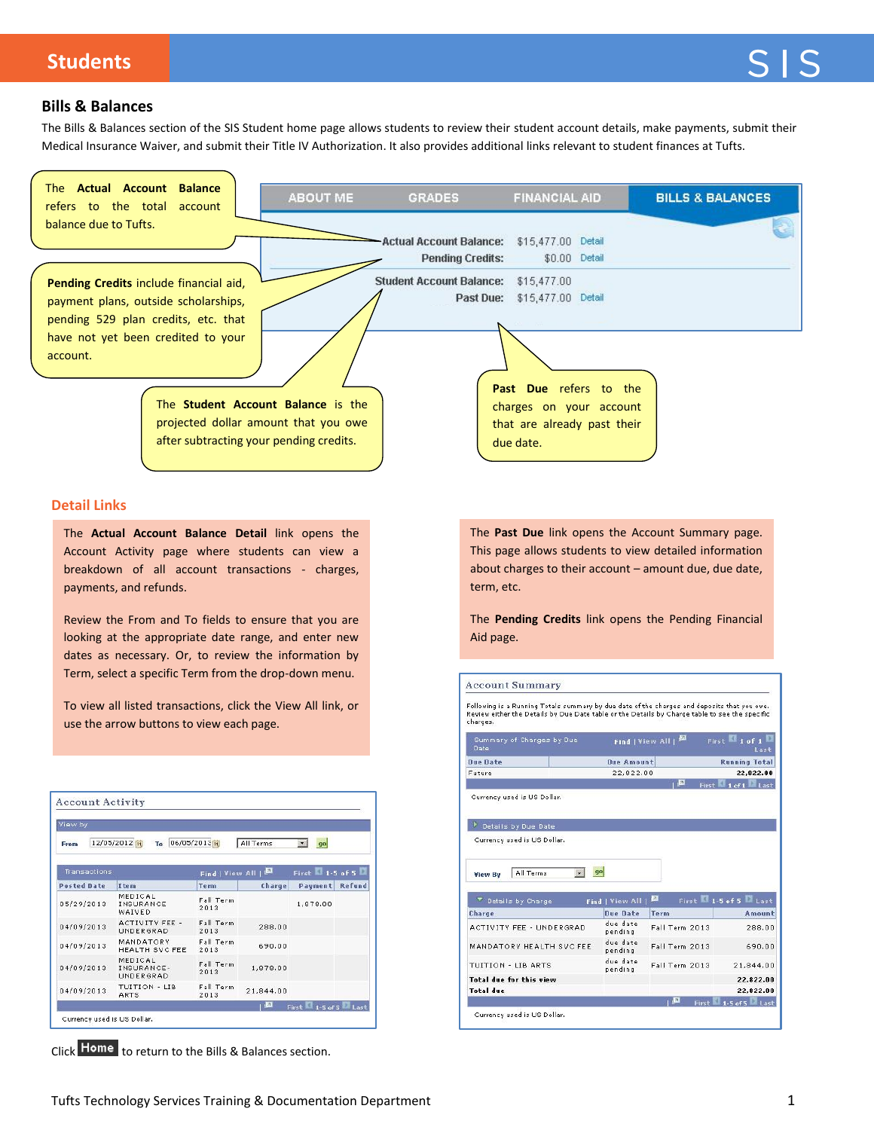# **Students**

## **Bills & Balances**

The Bills & Balances section of the SIS Student home page allows students to review their student account details, make payments, submit their Medical Insurance Waiver, and submit their Title IV Authorization. It also provides additional links relevant to student finances at Tufts.



Click Home to return to the Bills & Balances section.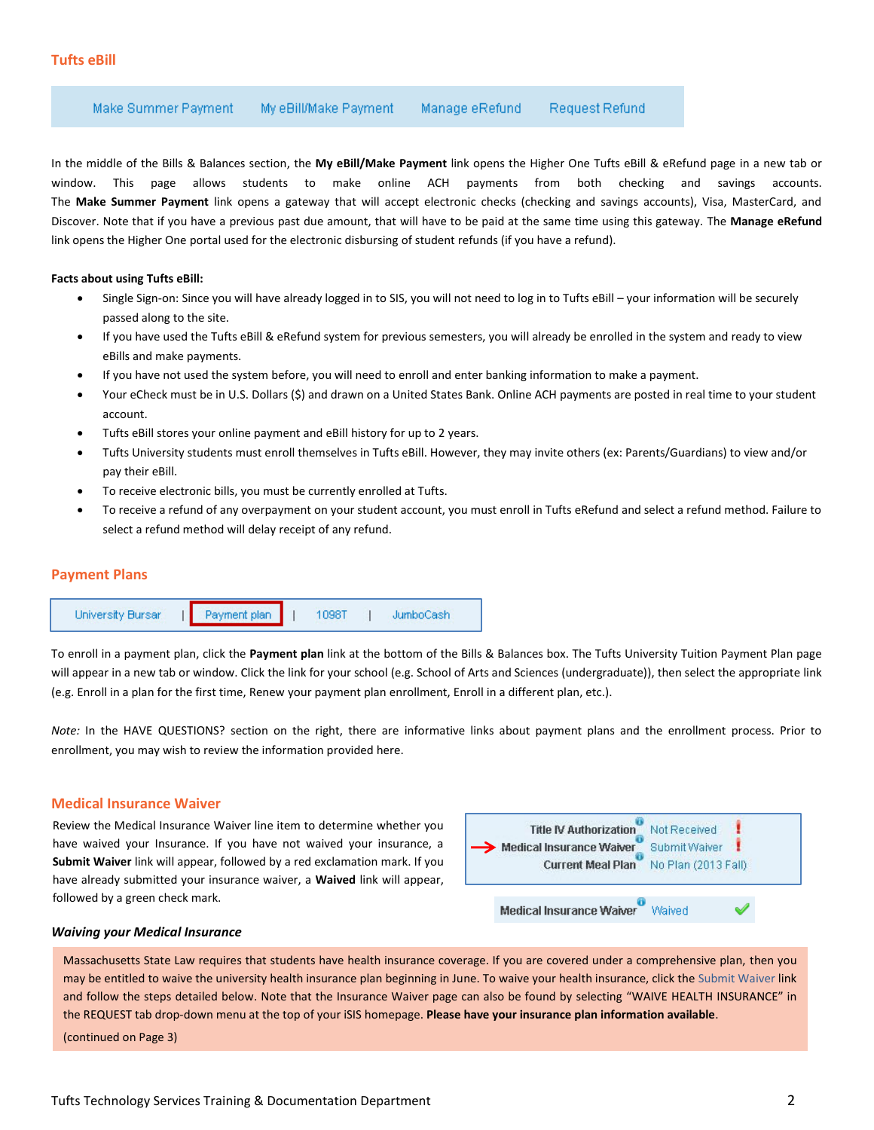Make Summer Payment My eBill/Make Payment Request Refund Manage eRefund

In the middle of the Bills & Balances section, the **My eBill/Make Payment** link opens the Higher One Tufts eBill & eRefund page in a new tab or window. This page allows students to make online ACH payments from both checking and savings accounts. The **Make Summer Payment** link opens a gateway that will accept electronic checks (checking and savings accounts), Visa, MasterCard, and Discover. Note that if you have a previous past due amount, that will have to be paid at the same time using this gateway. The **Manage eRefund** link opens the Higher One portal used for the electronic disbursing of student refunds (if you have a refund).

#### **Facts about using Tufts eBill:**

- Single Sign-on: Since you will have already logged in to SIS, you will not need to log in to Tufts eBill your information will be securely passed along to the site.
- If you have used the Tufts eBill & eRefund system for previous semesters, you will already be enrolled in the system and ready to view eBills and make payments.
- If you have not used the system before, you will need to enroll and enter banking information to make a payment.
- Your eCheck must be in U.S. Dollars (\$) and drawn on a United States Bank. Online ACH payments are posted in real time to your student account.
- Tufts eBill stores your online payment and eBill history for up to 2 years.
- Tufts University students must enroll themselves in Tufts eBill. However, they may invite others (ex: Parents/Guardians) to view and/or pay their eBill.
- To receive electronic bills, you must be currently enrolled at Tufts.
- To receive a refund of any overpayment on your student account, you must enroll in Tufts eRefund and select a refund method. Failure to select a refund method will delay receipt of any refund.

#### **Payment Plans**



To enroll in a payment plan, click the **Payment plan** link at the bottom of the Bills & Balances box. The Tufts University Tuition Payment Plan page will appear in a new tab or window. Click the link for your school (e.g. School of Arts and Sciences (undergraduate)), then select the appropriate link (e.g. Enroll in a plan for the first time, Renew your payment plan enrollment, Enroll in a different plan, etc.).

*Note:* In the HAVE QUESTIONS? section on the right, there are informative links about payment plans and the enrollment process. Prior to enrollment, you may wish to review the information provided here.

#### **Medical Insurance Waiver**

Review the Medical Insurance Waiver line item to determine whether you have waived your Insurance. If you have not waived your insurance, a **Submit Waiver** link will appear, followed by a red exclamation mark. If you have already submitted your insurance waiver, a **Waived** link will appear, followed by a green check mark.



#### *Waiving your Medical Insurance*

Massachusetts State Law requires that students have health insurance coverage. If you are covered under a comprehensive plan, then you may be entitled to waive the university health insurance plan beginning in June. To waive your health insurance, click the Submit Waiver link and follow the steps detailed below. Note that the Insurance Waiver page can also be found by selecting "WAIVE HEALTH INSURANCE" in the REQUEST tab drop-down menu at the top of your iSIS homepage. **Please have your insurance plan information available**.

(continued on Page 3)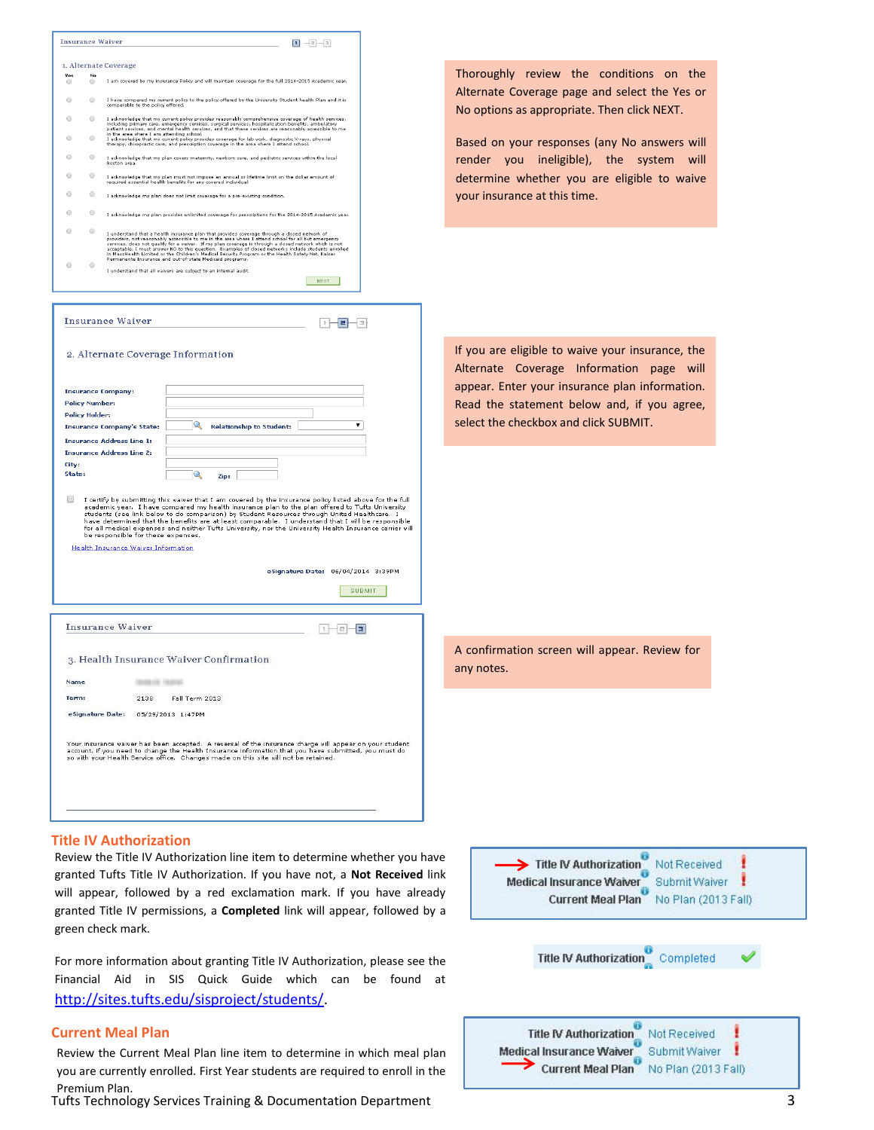

granted Tufts Title IV Authorization. If you have not, a **Not Received** link will appear, followed by a red exclamation mark. If you have already granted Title IV permissions, a **Completed** link will appear, followed by a green check mark.

For more information about granting Title IV Authorization, please see the Financial Aid in SIS Quick Guide which can be found at [http://sites.tufts.edu/sisproject/students/.](http://sites.tufts.edu/sisproject/students/)

### **Current Meal Plan**

Review the Current Meal Plan line item to determine in which meal plan you are currently enrolled. First Year students are required to enroll in the Premium Plan.

Tufts Technology Services Training & Documentation Department 3